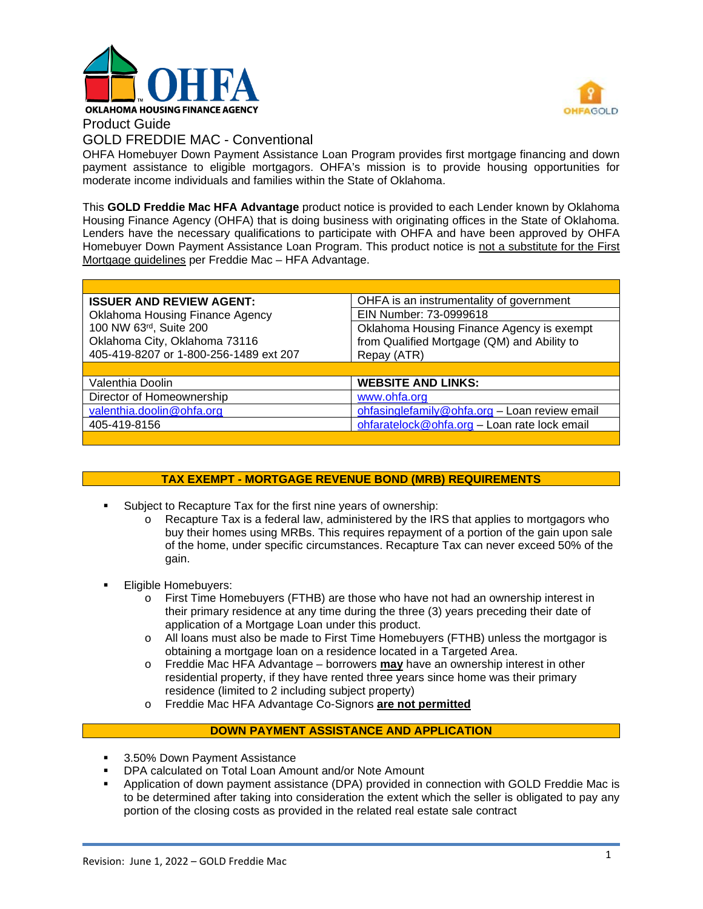

Product Guide



# GOLD FREDDIE MAC - Conventional

OHFA Homebuyer Down Payment Assistance Loan Program provides first mortgage financing and down payment assistance to eligible mortgagors. OHFA's mission is to provide housing opportunities for moderate income individuals and families within the State of Oklahoma.

This **GOLD Freddie Mac HFA Advantage** product notice is provided to each Lender known by Oklahoma Housing Finance Agency (OHFA) that is doing business with originating offices in the State of Oklahoma. Lenders have the necessary qualifications to participate with OHFA and have been approved by OHFA Homebuyer Down Payment Assistance Loan Program. This product notice is not a substitute for the First Mortgage guidelines per Freddie Mac – HFA Advantage.

| <b>ISSUER AND REVIEW AGENT:</b>        | OHFA is an instrumentality of government      |  |
|----------------------------------------|-----------------------------------------------|--|
| <b>Oklahoma Housing Finance Agency</b> | EIN Number: 73-0999618                        |  |
| 100 NW 63rd, Suite 200                 | Oklahoma Housing Finance Agency is exempt     |  |
| Oklahoma City, Oklahoma 73116          | from Qualified Mortgage (QM) and Ability to   |  |
| 405-419-8207 or 1-800-256-1489 ext 207 | Repay (ATR)                                   |  |
|                                        |                                               |  |
|                                        |                                               |  |
| Valenthia Doolin                       | <b>WEBSITE AND LINKS:</b>                     |  |
| Director of Homeownership              | www.ohfa.org                                  |  |
| valenthia.doolin@ohfa.org              | ohfasinglefamily@ohfa.org - Loan review email |  |
| 405-419-8156                           | ohfaratelock@ohfa.org - Loan rate lock email  |  |

## **TAX EXEMPT - MORTGAGE REVENUE BOND (MRB) REQUIREMENTS**

- Subject to Recapture Tax for the first nine years of ownership:
	- o Recapture Tax is a federal law, administered by the IRS that applies to mortgagors who buy their homes using MRBs. This requires repayment of a portion of the gain upon sale of the home, under specific circumstances. Recapture Tax can never exceed 50% of the gain.
- Eligible Homebuyers:
	- o First Time Homebuyers (FTHB) are those who have not had an ownership interest in their primary residence at any time during the three (3) years preceding their date of application of a Mortgage Loan under this product.
	- o All loans must also be made to First Time Homebuyers (FTHB) unless the mortgagor is obtaining a mortgage loan on a residence located in a Targeted Area.
	- o Freddie Mac HFA Advantage borrowers **may** have an ownership interest in other residential property, if they have rented three years since home was their primary residence (limited to 2 including subject property)
	- o Freddie Mac HFA Advantage Co-Signors **are not permitted**

#### **DOWN PAYMENT ASSISTANCE AND APPLICATION**

- 3.50% Down Payment Assistance
- DPA calculated on Total Loan Amount and/or Note Amount
- Application of down payment assistance (DPA) provided in connection with GOLD Freddie Mac is to be determined after taking into consideration the extent which the seller is obligated to pay any portion of the closing costs as provided in the related real estate sale contract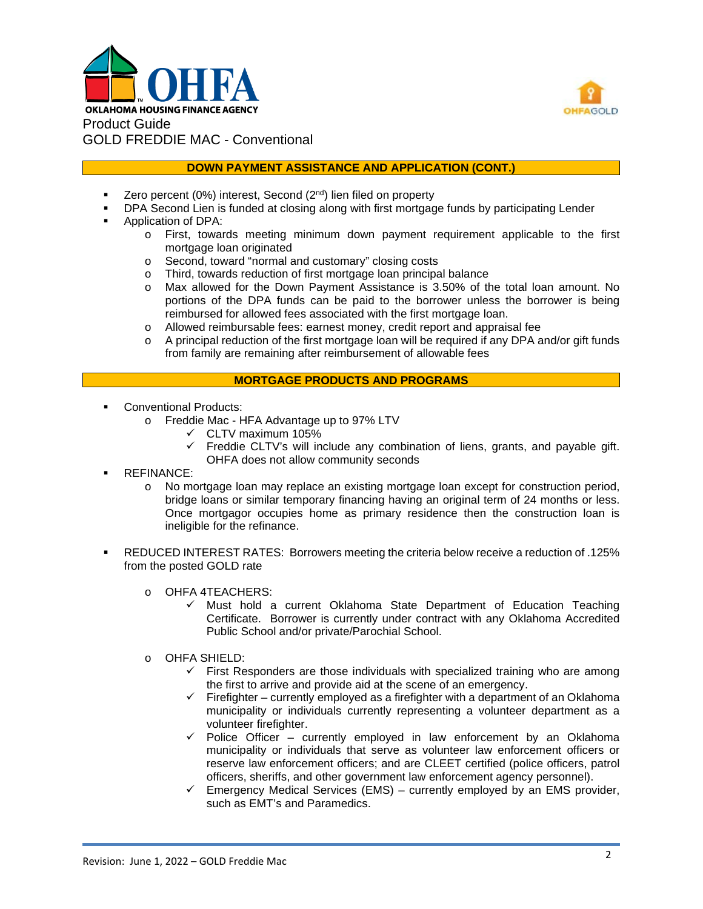



## **DOWN PAYMENT ASSISTANCE AND APPLICATION (CONT.)**

- Zero percent (0%) interest, Second (2nd) lien filed on property
- DPA Second Lien is funded at closing along with first mortgage funds by participating Lender
- Application of DPA:
	- o First, towards meeting minimum down payment requirement applicable to the first mortgage loan originated
	- o Second, toward "normal and customary" closing costs
	- o Third, towards reduction of first mortgage loan principal balance<br>
	o Max allowed for the Down Payment Assistance is 3.50% of the
	- Max allowed for the Down Payment Assistance is 3.50% of the total loan amount. No portions of the DPA funds can be paid to the borrower unless the borrower is being reimbursed for allowed fees associated with the first mortgage loan.
	- o Allowed reimbursable fees: earnest money, credit report and appraisal fee
	- o A principal reduction of the first mortgage loan will be required if any DPA and/or gift funds from family are remaining after reimbursement of allowable fees

## **MORTGAGE PRODUCTS AND PROGRAMS**

- **Conventional Products:** 
	- o Freddie Mac HFA Advantage up to 97% LTV
		- $\checkmark$  CLTV maximum 105%
		- $\checkmark$  Freddie CLTV's will include any combination of liens, grants, and payable gift. OHFA does not allow community seconds
- REFINANCE:
	- o No mortgage loan may replace an existing mortgage loan except for construction period, bridge loans or similar temporary financing having an original term of 24 months or less. Once mortgagor occupies home as primary residence then the construction loan is ineligible for the refinance.
- REDUCED INTEREST RATES: Borrowers meeting the criteria below receive a reduction of .125% from the posted GOLD rate
	- o OHFA 4TEACHERS:
		- $\checkmark$  Must hold a current Oklahoma State Department of Education Teaching Certificate. Borrower is currently under contract with any Oklahoma Accredited Public School and/or private/Parochial School.
	- o OHFA SHIELD:
		- $\checkmark$  First Responders are those individuals with specialized training who are among the first to arrive and provide aid at the scene of an emergency.
		- $\checkmark$  Firefighter currently employed as a firefighter with a department of an Oklahoma municipality or individuals currently representing a volunteer department as a volunteer firefighter.
		- $\checkmark$  Police Officer currently employed in law enforcement by an Oklahoma municipality or individuals that serve as volunteer law enforcement officers or reserve law enforcement officers; and are CLEET certified (police officers, patrol officers, sheriffs, and other government law enforcement agency personnel).
		- $\checkmark$  Emergency Medical Services (EMS) currently employed by an EMS provider, such as EMT's and Paramedics.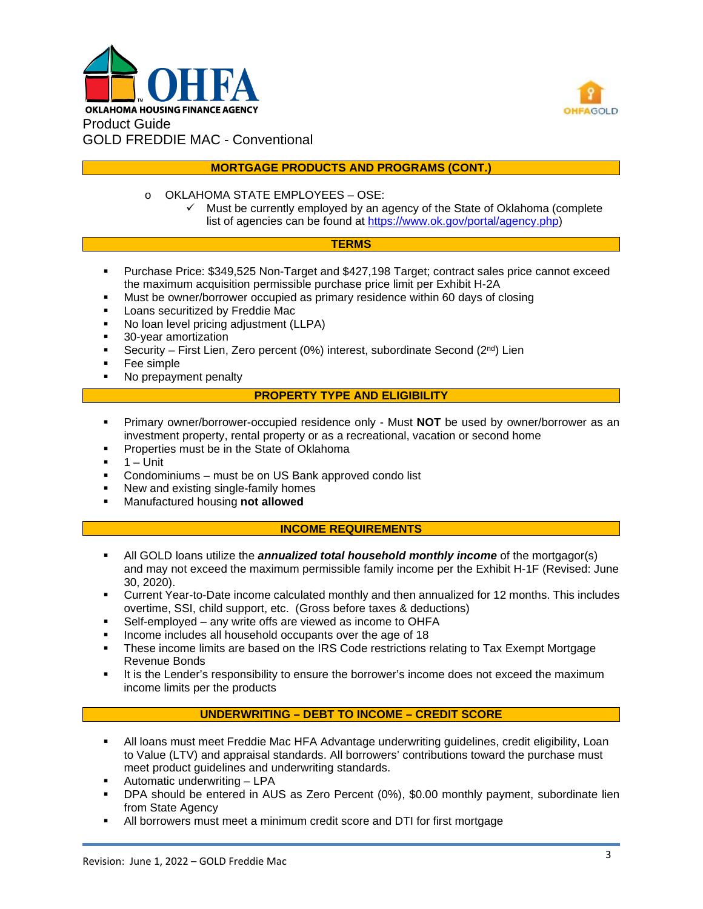



## **MORTGAGE PRODUCTS AND PROGRAMS (CONT.)**

- o OKLAHOMA STATE EMPLOYEES OSE:
	- $\checkmark$  Must be currently employed by an agency of the State of Oklahoma (complete list of agencies can be found at [https://www.ok.gov/portal/agency.php\)](https://www.ok.gov/portal/agency.php)

#### **TERMS**

- Purchase Price: \$349,525 Non-Target and \$427,198 Target; contract sales price cannot exceed the maximum acquisition permissible purchase price limit per Exhibit H-2A
- Must be owner/borrower occupied as primary residence within 60 days of closing
- **Loans securitized by Freddie Mac**
- No loan level pricing adjustment (LLPA)
- **30-year amortization**
- Security First Lien, Zero percent (0%) interest, subordinate Second ( $2^{nd}$ ) Lien
- Fee simple
- No prepayment penalty

#### **PROPERTY TYPE AND ELIGIBILITY**

- Primary owner/borrower-occupied residence only Must **NOT** be used by owner/borrower as an investment property, rental property or as a recreational, vacation or second home
- Properties must be in the State of Oklahoma
- $-1$  Unit
- Condominiums must be on US Bank approved condo list
- New and existing single-family homes
- Manufactured housing **not allowed**

#### **INCOME REQUIREMENTS**

- All GOLD loans utilize the *annualized total household monthly income* of the mortgagor(s) and may not exceed the maximum permissible family income per the Exhibit H-1F (Revised: June 30, 2020).
- Current Year-to-Date income calculated monthly and then annualized for 12 months. This includes overtime, SSI, child support, etc. (Gross before taxes & deductions)
- Self-employed any write offs are viewed as income to OHFA
- **Income includes all household occupants over the age of 18**
- These income limits are based on the IRS Code restrictions relating to Tax Exempt Mortgage Revenue Bonds
- It is the Lender's responsibility to ensure the borrower's income does not exceed the maximum income limits per the products

## **UNDERWRITING – DEBT TO INCOME – CREDIT SCORE**

- All loans must meet Freddie Mac HFA Advantage underwriting guidelines, credit eligibility, Loan to Value (LTV) and appraisal standards. All borrowers' contributions toward the purchase must meet product guidelines and underwriting standards.
- **Automatic underwriting LPA**
- DPA should be entered in AUS as Zero Percent (0%), \$0.00 monthly payment, subordinate lien from State Agency
- All borrowers must meet a minimum credit score and DTI for first mortgage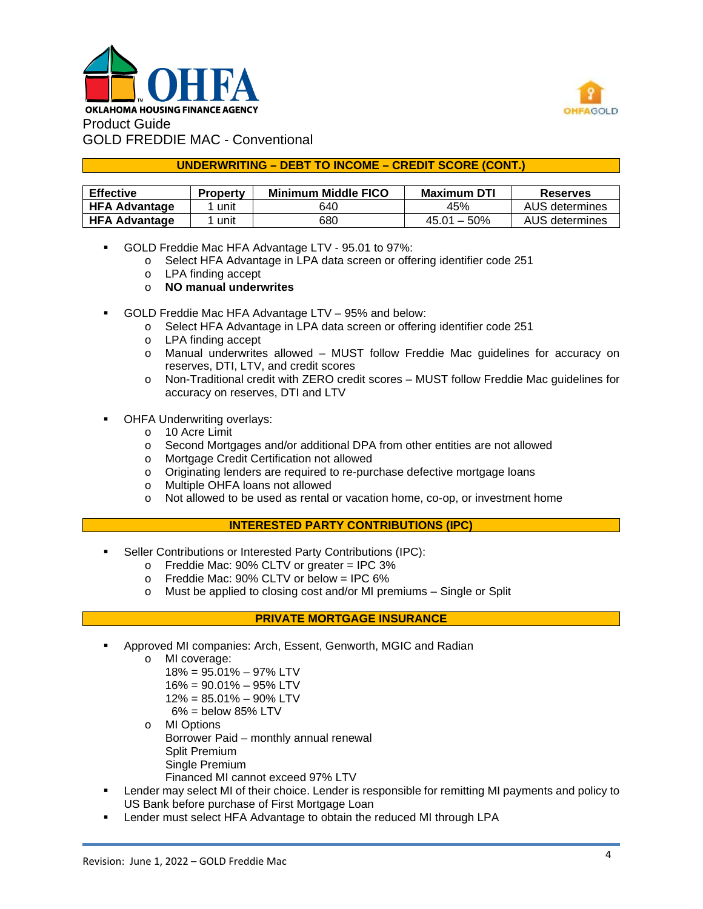



## **UNDERWRITING – DEBT TO INCOME – CREDIT SCORE (CONT.)**

| <b>Effective</b>     | <b>Property</b> | <b>Minimum Middle FICO</b> | <b>Maximum DTI</b> | <b>Reserves</b> |
|----------------------|-----------------|----------------------------|--------------------|-----------------|
| <b>HFA Advantage</b> | unit            | 640                        | 45%                | AUS determines  |
| <b>HFA Advantage</b> | unit            | 680                        | $45.01 - 50\%$     | AUS determines  |

- GOLD Freddie Mac HFA Advantage LTV 95.01 to 97%:
	- o Select HFA Advantage in LPA data screen or offering identifier code 251
	- o LPA finding accept
	- o **NO manual underwrites**
- GOLD Freddie Mac HFA Advantage LTV 95% and below:
	- o Select HFA Advantage in LPA data screen or offering identifier code 251
	- o LPA finding accept
	- o Manual underwrites allowed MUST follow Freddie Mac guidelines for accuracy on reserves, DTI, LTV, and credit scores
	- o Non-Traditional credit with ZERO credit scores MUST follow Freddie Mac guidelines for accuracy on reserves, DTI and LTV
- OHFA Underwriting overlays:
	- o 10 Acre Limit
	- o Second Mortgages and/or additional DPA from other entities are not allowed
	- o Mortgage Credit Certification not allowed
	- o Originating lenders are required to re-purchase defective mortgage loans
	- o Multiple OHFA loans not allowed
	- o Not allowed to be used as rental or vacation home, co-op, or investment home

## **INTERESTED PARTY CONTRIBUTIONS (IPC)**

- Seller Contributions or Interested Party Contributions (IPC):
	- o Freddie Mac: 90% CLTV or greater = IPC 3%
	- o Freddie Mac: 90% CLTV or below = IPC 6%
	- o Must be applied to closing cost and/or MI premiums Single or Split

## **PRIVATE MORTGAGE INSURANCE**

- Approved MI companies: Arch, Essent, Genworth, MGIC and Radian
	- o MI coverage:
		- 18% = 95.01% 97% LTV
		- 16% = 90.01% 95% LTV
		- 12% = 85.01% 90% LTV
		- $6\%$  = below 85% LTV
	- o MI Options Borrower Paid – monthly annual renewal Split Premium Single Premium
		- Financed MI cannot exceed 97% LTV
- Lender may select MI of their choice. Lender is responsible for remitting MI payments and policy to US Bank before purchase of First Mortgage Loan
- Lender must select HFA Advantage to obtain the reduced MI through LPA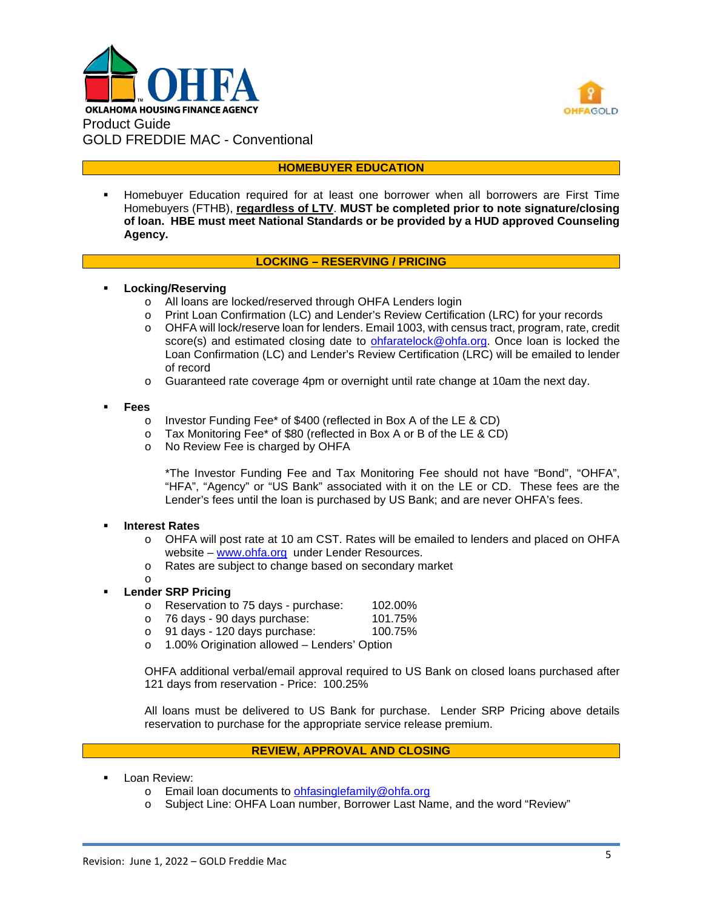



#### **HOMEBUYER EDUCATION**

 Homebuyer Education required for at least one borrower when all borrowers are First Time Homebuyers (FTHB), **regardless of LTV**. **MUST be completed prior to note signature/closing of loan. HBE must meet National Standards or be provided by a HUD approved Counseling Agency.**

#### **LOCKING – RESERVING / PRICING**

#### **Locking/Reserving**

- o All loans are locked/reserved through OHFA Lenders login
- o Print Loan Confirmation (LC) and Lender's Review Certification (LRC) for your records
- o OHFA will lock/reserve loan for lenders. Email 1003, with census tract, program, rate, credit score(s) and estimated closing date to **ohfaratelock@ohfa.org**. Once loan is locked the Loan Confirmation (LC) and Lender's Review Certification (LRC) will be emailed to lender of record
- o Guaranteed rate coverage 4pm or overnight until rate change at 10am the next day.

#### **Fees**

- o Investor Funding Fee\* of \$400 (reflected in Box A of the LE & CD)<br>o Tax Monitoring Fee\* of \$80 (reflected in Box A or B of the LE & CD)
- Tax Monitoring Fee\* of \$80 (reflected in Box A or B of the LE & CD)
- o No Review Fee is charged by OHFA

\*The Investor Funding Fee and Tax Monitoring Fee should not have "Bond", "OHFA", "HFA", "Agency" or "US Bank" associated with it on the LE or CD. These fees are the Lender's fees until the loan is purchased by US Bank; and are never OHFA's fees.

#### **Interest Rates**

o

- o OHFA will post rate at 10 am CST. Rates will be emailed to lenders and placed on OHFA website – [www.ohfa.org](http://www.ohfa.org/) under Lender Resources.
- o Rates are subject to change based on secondary market

#### **Lender SRP Pricing**

- o Reservation to 75 days purchase: 102.00%<br>o 76 days 90 days purchase: 101.75%
- o 76 days 90 days purchase: 101.75%<br>o 91 days 120 days purchase: 100.75%
- $\circ$  91 days 120 days purchase:<br> $\circ$  1.00% Origination allowed Le
- 1.00% Origination allowed Lenders' Option

OHFA additional verbal/email approval required to US Bank on closed loans purchased after 121 days from reservation - Price: 100.25%

All loans must be delivered to US Bank for purchase. Lender SRP Pricing above details reservation to purchase for the appropriate service release premium.

## **REVIEW, APPROVAL AND CLOSING**

- Loan Review:
	- o Email loan documents to [ohfasinglefamily@ohfa.org](mailto:ohfasinglefamily@ohfa.org)
	- o Subject Line: OHFA Loan number, Borrower Last Name, and the word "Review"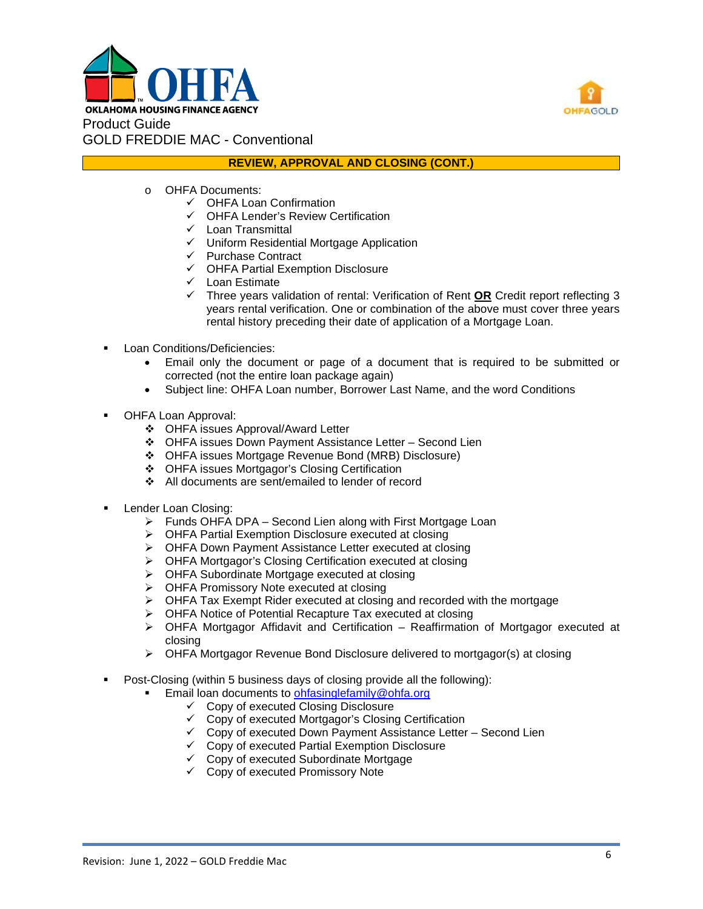



#### **REVIEW, APPROVAL AND CLOSING (CONT.)**

- o OHFA Documents:
	- OHFA Loan Confirmation
	- OHFA Lender's Review Certification
	- $\checkmark$  Loan Transmittal
	- $\checkmark$  Uniform Residential Mortgage Application
	- $\checkmark$  Purchase Contract
	- $\checkmark$  OHFA Partial Exemption Disclosure
	- $\checkmark$  Loan Estimate
	- Three years validation of rental: Verification of Rent **OR** Credit report reflecting 3 years rental verification. One or combination of the above must cover three years rental history preceding their date of application of a Mortgage Loan.
- **Loan Conditions/Deficiencies:** 
	- Email only the document or page of a document that is required to be submitted or corrected (not the entire loan package again)
	- Subject line: OHFA Loan number, Borrower Last Name, and the word Conditions
- OHFA Loan Approval:
	- OHFA issues Approval/Award Letter
	- OHFA issues Down Payment Assistance Letter Second Lien
	- OHFA issues Mortgage Revenue Bond (MRB) Disclosure)
	- OHFA issues Mortgagor's Closing Certification
	- All documents are sent/emailed to lender of record
- Lender Loan Closing:
	- $\triangleright$  Funds OHFA DPA Second Lien along with First Mortgage Loan
	- OHFA Partial Exemption Disclosure executed at closing
	- ▶ OHFA Down Payment Assistance Letter executed at closing
	- OHFA Mortgagor's Closing Certification executed at closing
	- OHFA Subordinate Mortgage executed at closing
	- > OHFA Promissory Note executed at closing
	- $\triangleright$  OHFA Tax Exempt Rider executed at closing and recorded with the mortgage
	- OHFA Notice of Potential Recapture Tax executed at closing
	- $\triangleright$  OHFA Mortgagor Affidavit and Certification Reaffirmation of Mortgagor executed at closing
	- $\triangleright$  OHFA Mortgagor Revenue Bond Disclosure delivered to mortgagor(s) at closing
- Post-Closing (within 5 business days of closing provide all the following):
	- Email loan documents to [ohfasinglefamily@ohfa.org](mailto:ohfasinglefamily@ohfa.org)
		- $\checkmark$  Copy of executed Closing Disclosure
		- $\checkmark$  Copy of executed Mortgagor's Closing Certification
		- $\checkmark$  Copy of executed Down Payment Assistance Letter Second Lien
		- Copy of executed Partial Exemption Disclosure
		- $\checkmark$  Copy of executed Subordinate Mortgage
		- $\checkmark$  Copy of executed Promissory Note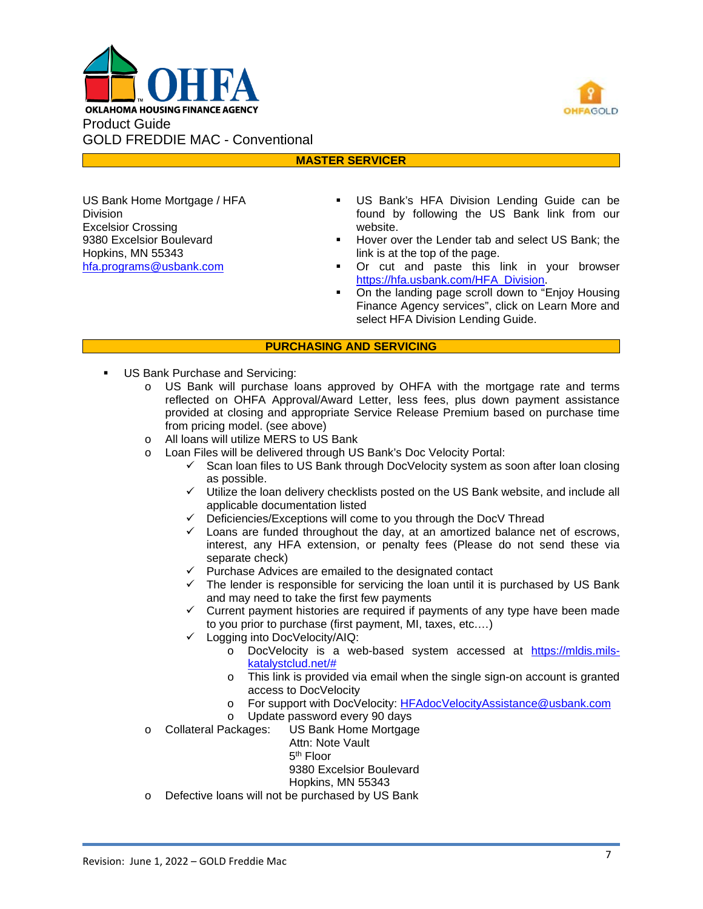



## **MASTER SERVICER**

US Bank Home Mortgage / HFA Division Excelsior Crossing 9380 Excelsior Boulevard Hopkins, MN 55343 [hfa.programs@usbank.com](mailto:hfa.programs@usbank.com)

- US Bank's HFA Division Lending Guide can be found by following the US Bank link from our website.
- Hover over the Lender tab and select US Bank; the link is at the top of the page.
- Or cut and paste this link in your browser [https://hfa.usbank.com/HFA\\_Division.](https://hfa.usbank.com/HFA_Division)
- On the landing page scroll down to "Enjoy Housing Finance Agency services", click on Learn More and select HFA Division Lending Guide.

#### **PURCHASING AND SERVICING**

- US Bank Purchase and Servicing:
	- o US Bank will purchase loans approved by OHFA with the mortgage rate and terms reflected on OHFA Approval/Award Letter, less fees, plus down payment assistance provided at closing and appropriate Service Release Premium based on purchase time from pricing model. (see above)
	- o All loans will utilize MERS to US Bank<br>o Loan Files will be delivered through US
		- Loan Files will be delivered through US Bank's Doc Velocity Portal:
			- $\checkmark$  Scan loan files to US Bank through DocVelocity system as soon after loan closing as possible.
			- $\checkmark$  Utilize the loan delivery checklists posted on the US Bank website, and include all applicable documentation listed
			- $\checkmark$  Deficiencies/Exceptions will come to you through the DocV Thread
			- $\checkmark$  Loans are funded throughout the day, at an amortized balance net of escrows, interest, any HFA extension, or penalty fees (Please do not send these via separate check)
			- $\checkmark$  Purchase Advices are emailed to the designated contact
			- $\checkmark$  The lender is responsible for servicing the loan until it is purchased by US Bank and may need to take the first few payments
			- $\checkmark$  Current payment histories are required if payments of any type have been made to you prior to purchase (first payment, MI, taxes, etc.…)
			- Logging into DocVelocity/AIQ:
				- o DocVelocity is a web-based system accessed at [https://mldis.mils](https://mldis.mils-katalystclud.net/)[katalystclud.net/#](https://mldis.mils-katalystclud.net/)
				- o This link is provided via email when the single sign-on account is granted access to DocVelocity
				- o For support with DocVelocity: [HFAdocVelocityAssistance@usbank.com](mailto:HFAdocVelocityAssistance@usbank.com)
		- o Update password every 90 days<br>Collateral Packages: US Bank Home Mortgage
	- US Bank Home Mortgage

Attn: Note Vault 5th Floor 9380 Excelsior Boulevard Hopkins, MN 55343

o Defective loans will not be purchased by US Bank